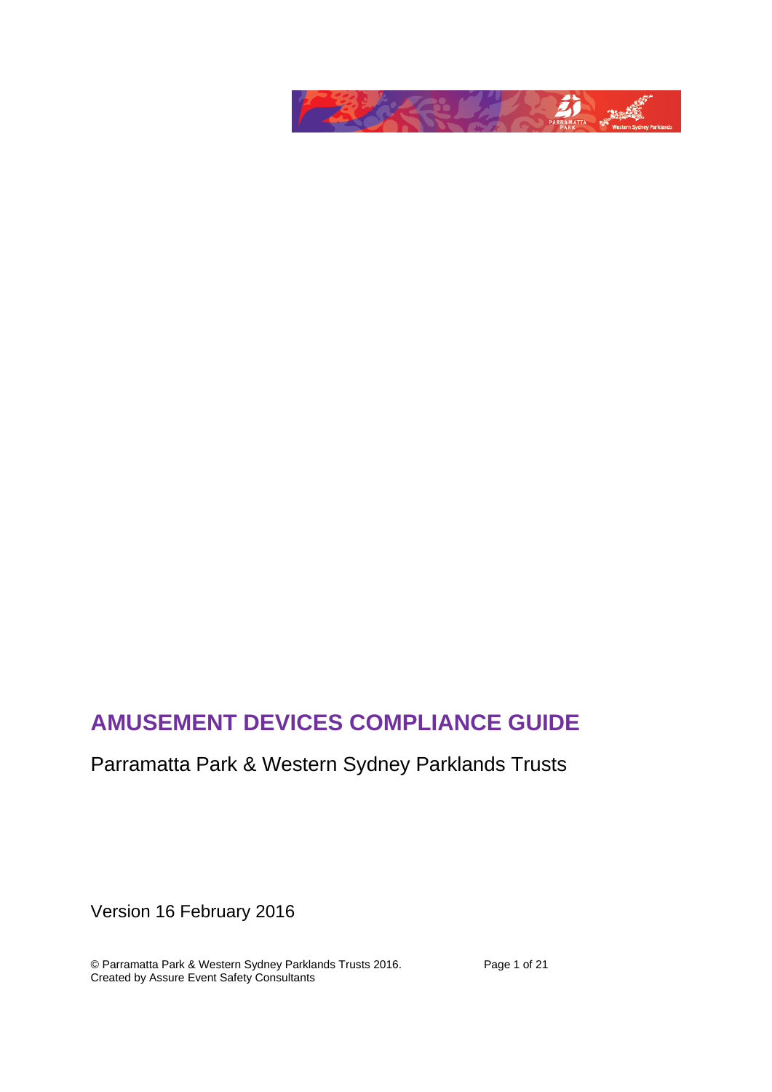

# **AMUSEMENT DEVICES COMPLIANCE GUIDE**

# Parramatta Park & Western Sydney Parklands Trusts

Version 16 February 2016

© Parramatta Park & Western Sydney Parklands Trusts 2016. Page 1 of 21 Created by Assure Event Safety Consultants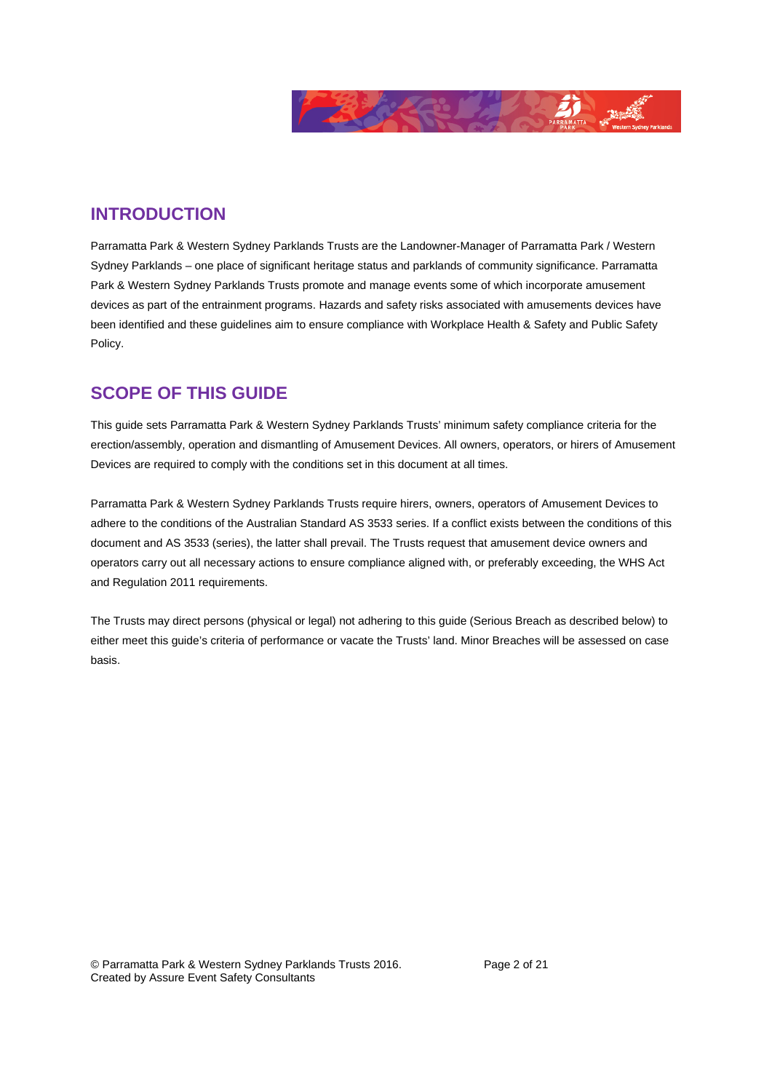

### **INTRODUCTION**

Parramatta Park & Western Sydney Parklands Trusts are the Landowner-Manager of Parramatta Park / Western Sydney Parklands – one place of significant heritage status and parklands of community significance. Parramatta Park & Western Sydney Parklands Trusts promote and manage events some of which incorporate amusement devices as part of the entrainment programs. Hazards and safety risks associated with amusements devices have been identified and these guidelines aim to ensure compliance with Workplace Health & Safety and Public Safety Policy.

## **SCOPE OF THIS GUIDE**

This guide sets Parramatta Park & Western Sydney Parklands Trusts' minimum safety compliance criteria for the erection/assembly, operation and dismantling of Amusement Devices. All owners, operators, or hirers of Amusement Devices are required to comply with the conditions set in this document at all times.

Parramatta Park & Western Sydney Parklands Trusts require hirers, owners, operators of Amusement Devices to adhere to the conditions of the Australian Standard AS 3533 series. If a conflict exists between the conditions of this document and AS 3533 (series), the latter shall prevail. The Trusts request that amusement device owners and operators carry out all necessary actions to ensure compliance aligned with, or preferably exceeding, the WHS Act and Regulation 2011 requirements.

The Trusts may direct persons (physical or legal) not adhering to this guide (Serious Breach as described below) to either meet this guide's criteria of performance or vacate the Trusts' land. Minor Breaches will be assessed on case basis.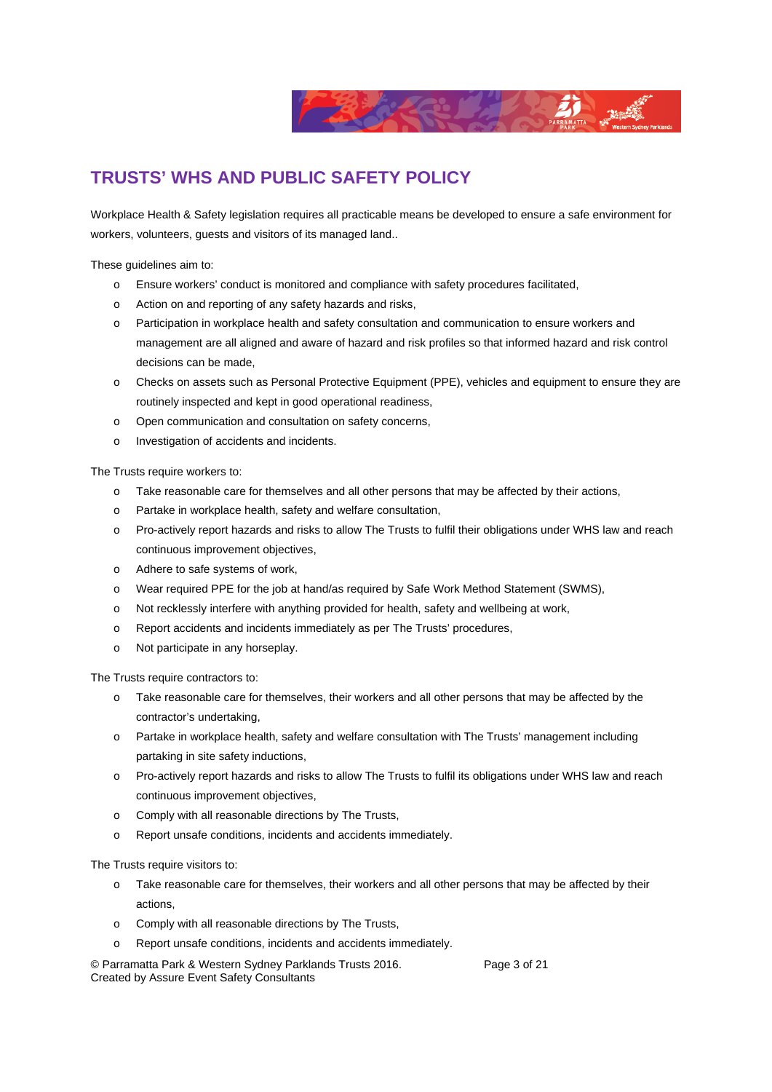

# **TRUSTS' WHS AND PUBLIC SAFETY POLICY**

Workplace Health & Safety legislation requires all practicable means be developed to ensure a safe environment for workers, volunteers, guests and visitors of its managed land..

These guidelines aim to:

- o Ensure workers' conduct is monitored and compliance with safety procedures facilitated,
- o Action on and reporting of any safety hazards and risks,
- o Participation in workplace health and safety consultation and communication to ensure workers and management are all aligned and aware of hazard and risk profiles so that informed hazard and risk control decisions can be made,
- o Checks on assets such as Personal Protective Equipment (PPE), vehicles and equipment to ensure they are routinely inspected and kept in good operational readiness,
- o Open communication and consultation on safety concerns,
- o Investigation of accidents and incidents.

The Trusts require workers to:

- o Take reasonable care for themselves and all other persons that may be affected by their actions,
- o Partake in workplace health, safety and welfare consultation,
- o Pro-actively report hazards and risks to allow The Trusts to fulfil their obligations under WHS law and reach continuous improvement objectives,
- o Adhere to safe systems of work,
- o Wear required PPE for the job at hand/as required by Safe Work Method Statement (SWMS),
- o Not recklessly interfere with anything provided for health, safety and wellbeing at work,
- o Report accidents and incidents immediately as per The Trusts' procedures,
- o Not participate in any horseplay.

The Trusts require contractors to:

- o Take reasonable care for themselves, their workers and all other persons that may be affected by the contractor's undertaking,
- o Partake in workplace health, safety and welfare consultation with The Trusts' management including partaking in site safety inductions,
- o Pro-actively report hazards and risks to allow The Trusts to fulfil its obligations under WHS law and reach continuous improvement objectives,
- o Comply with all reasonable directions by The Trusts,
- o Report unsafe conditions, incidents and accidents immediately.

The Trusts require visitors to:

- o Take reasonable care for themselves, their workers and all other persons that may be affected by their actions,
- o Comply with all reasonable directions by The Trusts,
- o Report unsafe conditions, incidents and accidents immediately.

© Parramatta Park & Western Sydney Parklands Trusts 2016. Page 3 of 21 Created by Assure Event Safety Consultants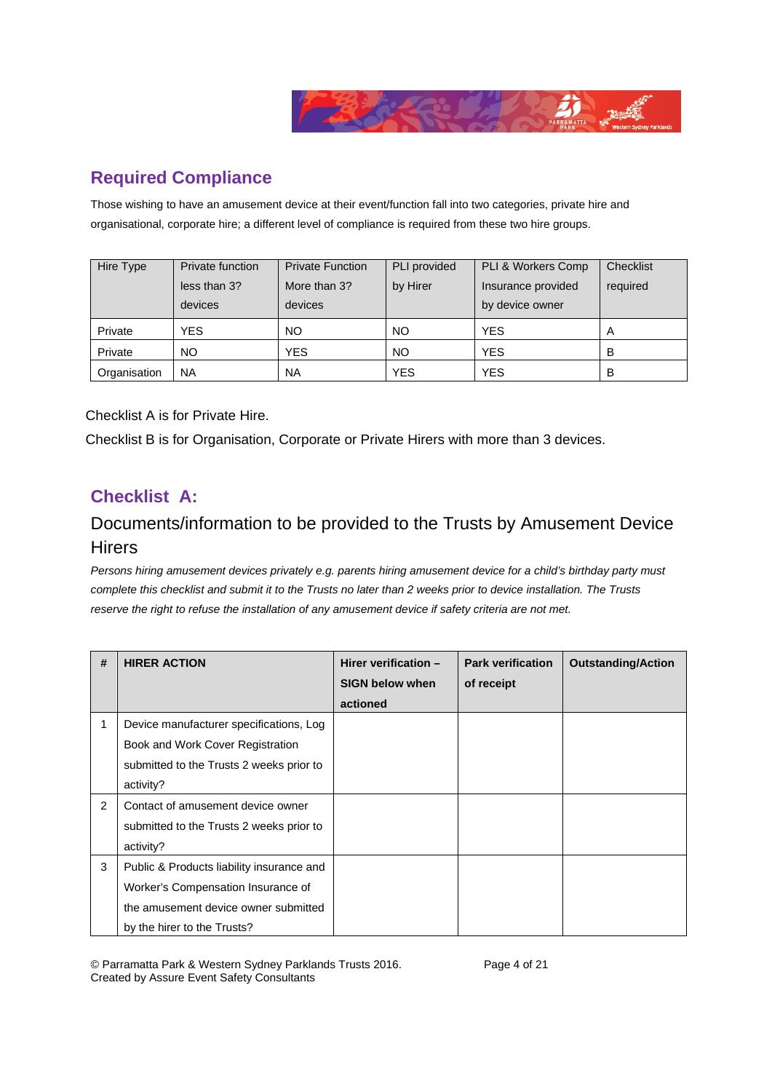

## **Required Compliance**

Those wishing to have an amusement device at their event/function fall into two categories, private hire and organisational, corporate hire; a different level of compliance is required from these two hire groups.

| Hire Type    | Private function | <b>Private Function</b> | PLI provided | PLI & Workers Comp | Checklist |
|--------------|------------------|-------------------------|--------------|--------------------|-----------|
|              | less than 3?     | More than 3?            | by Hirer     | Insurance provided | required  |
|              | devices          | devices                 |              | by device owner    |           |
| Private      | <b>YES</b>       | NO.                     | <b>NO</b>    | <b>YES</b>         | A         |
| Private      | NO.              | YES                     | <b>NO</b>    | <b>YES</b>         | В         |
| Organisation | <b>NA</b>        | ΝA                      | <b>YES</b>   | <b>YES</b>         | В         |

Checklist A is for Private Hire.

Checklist B is for Organisation, Corporate or Private Hirers with more than 3 devices.

### **Checklist A:**

## Documents/information to be provided to the Trusts by Amusement Device **Hirers**

*Persons hiring amusement devices privately e.g. parents hiring amusement device for a child's birthday party must complete this checklist and submit it to the Trusts no later than 2 weeks prior to device installation. The Trusts reserve the right to refuse the installation of any amusement device if safety criteria are not met.* 

| #              | <b>HIRER ACTION</b>                       | Hirer verification $-$ | <b>Park verification</b> | <b>Outstanding/Action</b> |
|----------------|-------------------------------------------|------------------------|--------------------------|---------------------------|
|                |                                           | <b>SIGN below when</b> | of receipt               |                           |
|                |                                           | actioned               |                          |                           |
| 1              | Device manufacturer specifications, Log   |                        |                          |                           |
|                | Book and Work Cover Registration          |                        |                          |                           |
|                | submitted to the Trusts 2 weeks prior to  |                        |                          |                           |
|                | activity?                                 |                        |                          |                           |
| $\overline{2}$ | Contact of amusement device owner         |                        |                          |                           |
|                | submitted to the Trusts 2 weeks prior to  |                        |                          |                           |
|                | activity?                                 |                        |                          |                           |
| 3              | Public & Products liability insurance and |                        |                          |                           |
|                | Worker's Compensation Insurance of        |                        |                          |                           |
|                | the amusement device owner submitted      |                        |                          |                           |
|                | by the hirer to the Trusts?               |                        |                          |                           |

© Parramatta Park & Western Sydney Parklands Trusts 2016. Page 4 of 21 Created by Assure Event Safety Consultants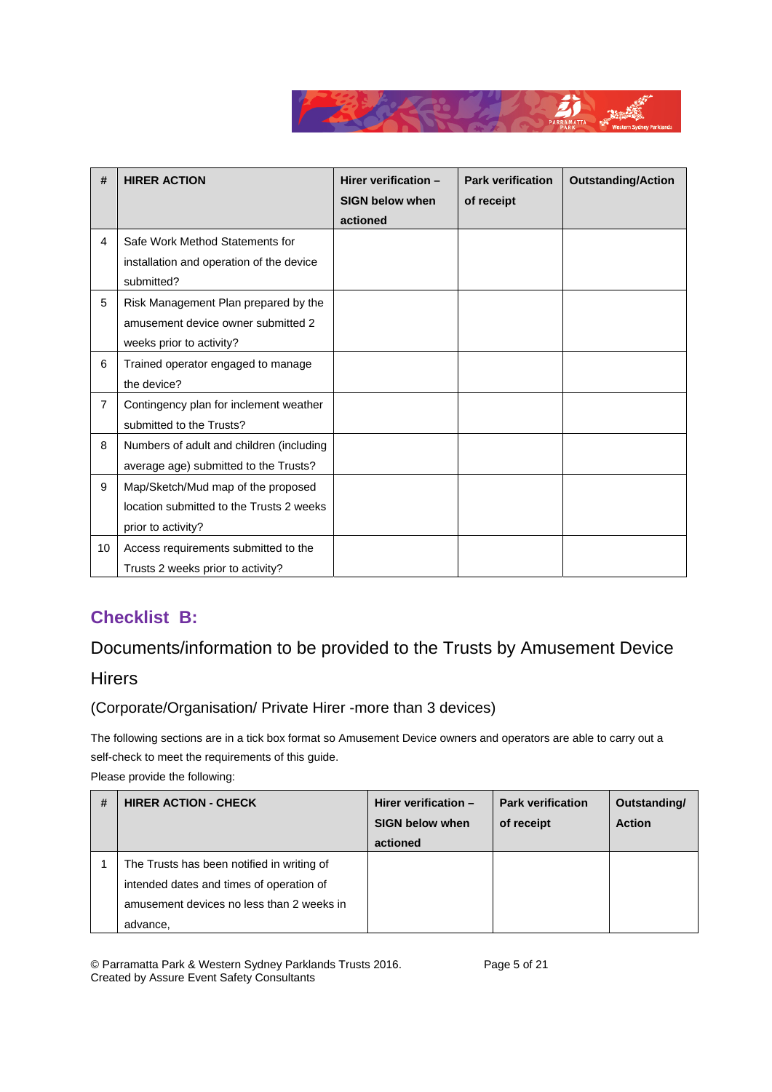

| #              | <b>HIRER ACTION</b>                      | Hirer verification -   | <b>Park verification</b> | <b>Outstanding/Action</b> |
|----------------|------------------------------------------|------------------------|--------------------------|---------------------------|
|                |                                          | <b>SIGN below when</b> | of receipt               |                           |
|                |                                          | actioned               |                          |                           |
| 4              | Safe Work Method Statements for          |                        |                          |                           |
|                | installation and operation of the device |                        |                          |                           |
|                | submitted?                               |                        |                          |                           |
| 5              | Risk Management Plan prepared by the     |                        |                          |                           |
|                | amusement device owner submitted 2       |                        |                          |                           |
|                | weeks prior to activity?                 |                        |                          |                           |
| 6              | Trained operator engaged to manage       |                        |                          |                           |
|                | the device?                              |                        |                          |                           |
| $\overline{7}$ | Contingency plan for inclement weather   |                        |                          |                           |
|                | submitted to the Trusts?                 |                        |                          |                           |
| 8              | Numbers of adult and children (including |                        |                          |                           |
|                | average age) submitted to the Trusts?    |                        |                          |                           |
| 9              | Map/Sketch/Mud map of the proposed       |                        |                          |                           |
|                | location submitted to the Trusts 2 weeks |                        |                          |                           |
|                | prior to activity?                       |                        |                          |                           |
| 10             | Access requirements submitted to the     |                        |                          |                           |
|                | Trusts 2 weeks prior to activity?        |                        |                          |                           |

# **Checklist B:**

# Documents/information to be provided to the Trusts by Amusement Device

### **Hirers**

### (Corporate/Organisation/ Private Hirer -more than 3 devices)

The following sections are in a tick box format so Amusement Device owners and operators are able to carry out a self-check to meet the requirements of this guide.

Please provide the following:

| # | <b>HIRER ACTION - CHECK</b>                                                            | Hirer verification $-$<br><b>SIGN below when</b><br>actioned | <b>Park verification</b><br>of receipt | Outstanding/<br><b>Action</b> |
|---|----------------------------------------------------------------------------------------|--------------------------------------------------------------|----------------------------------------|-------------------------------|
|   | The Trusts has been notified in writing of<br>intended dates and times of operation of |                                                              |                                        |                               |
|   | amusement devices no less than 2 weeks in<br>advance,                                  |                                                              |                                        |                               |

© Parramatta Park & Western Sydney Parklands Trusts 2016. Page 5 of 21 Created by Assure Event Safety Consultants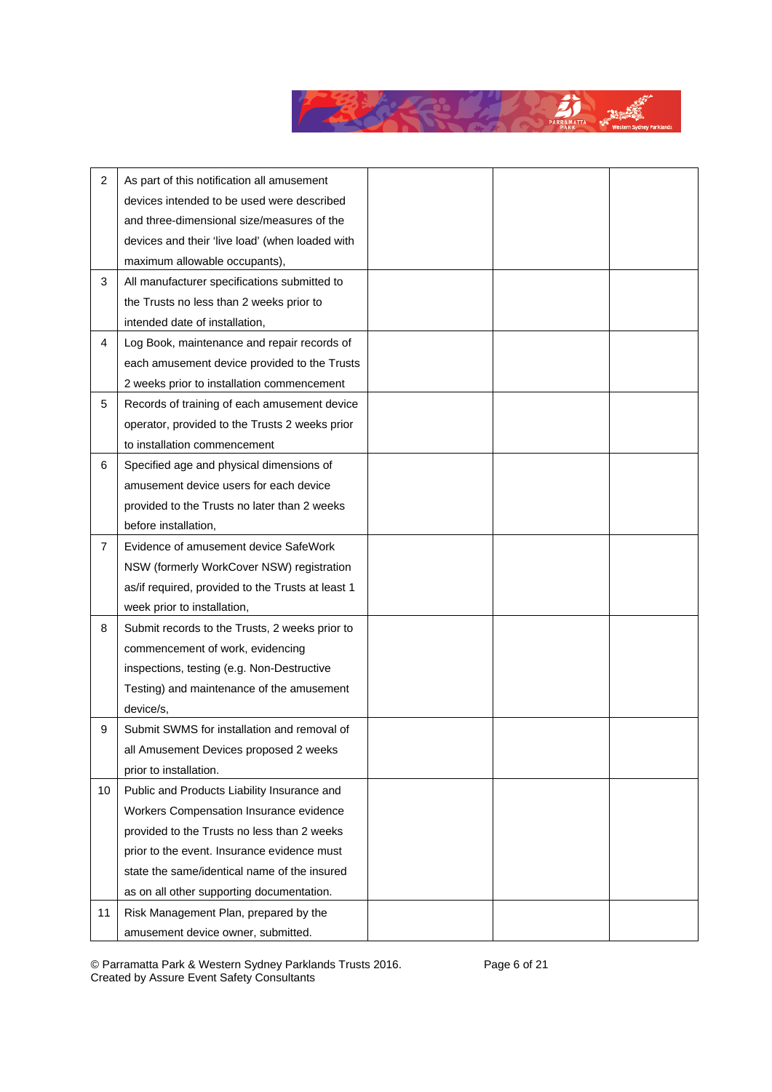

| $\overline{2}$ | As part of this notification all amusement        |  |  |
|----------------|---------------------------------------------------|--|--|
|                | devices intended to be used were described        |  |  |
|                | and three-dimensional size/measures of the        |  |  |
|                | devices and their 'live load' (when loaded with   |  |  |
|                | maximum allowable occupants),                     |  |  |
| 3              | All manufacturer specifications submitted to      |  |  |
|                | the Trusts no less than 2 weeks prior to          |  |  |
|                | intended date of installation,                    |  |  |
| 4              | Log Book, maintenance and repair records of       |  |  |
|                | each amusement device provided to the Trusts      |  |  |
|                | 2 weeks prior to installation commencement        |  |  |
| 5              | Records of training of each amusement device      |  |  |
|                | operator, provided to the Trusts 2 weeks prior    |  |  |
|                | to installation commencement                      |  |  |
| 6              | Specified age and physical dimensions of          |  |  |
|                | amusement device users for each device            |  |  |
|                | provided to the Trusts no later than 2 weeks      |  |  |
|                | before installation,                              |  |  |
| 7              | Evidence of amusement device SafeWork             |  |  |
|                | NSW (formerly WorkCover NSW) registration         |  |  |
|                | as/if required, provided to the Trusts at least 1 |  |  |
|                | week prior to installation,                       |  |  |
| 8              | Submit records to the Trusts, 2 weeks prior to    |  |  |
|                | commencement of work, evidencing                  |  |  |
|                | inspections, testing (e.g. Non-Destructive        |  |  |
|                | Testing) and maintenance of the amusement         |  |  |
|                | device/s,                                         |  |  |
| 9              | Submit SWMS for installation and removal of       |  |  |
|                | all Amusement Devices proposed 2 weeks            |  |  |
|                | prior to installation.                            |  |  |
| 10             | Public and Products Liability Insurance and       |  |  |
|                | Workers Compensation Insurance evidence           |  |  |
|                | provided to the Trusts no less than 2 weeks       |  |  |
|                | prior to the event. Insurance evidence must       |  |  |
|                | state the same/identical name of the insured      |  |  |
|                | as on all other supporting documentation.         |  |  |
| 11             | Risk Management Plan, prepared by the             |  |  |
|                | amusement device owner, submitted.                |  |  |

© Parramatta Park & Western Sydney Parklands Trusts 2016. Page 6 of 21 Created by Assure Event Safety Consultants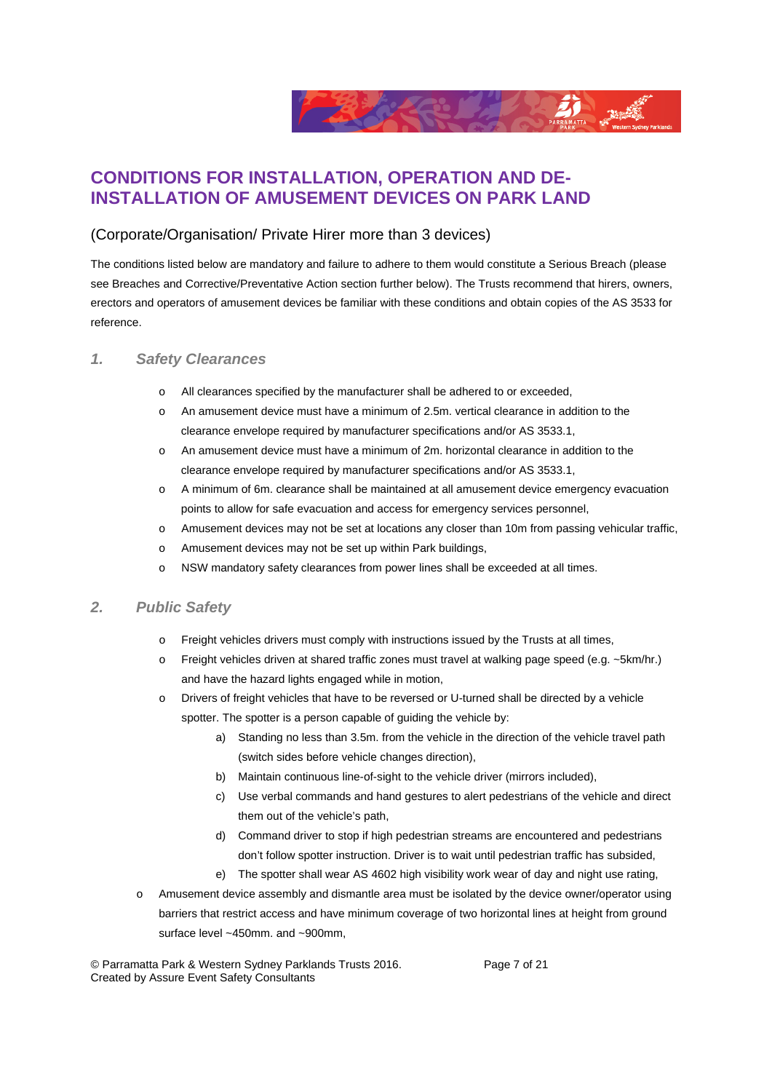

## **CONDITIONS FOR INSTALLATION, OPERATION AND DE-INSTALLATION OF AMUSEMENT DEVICES ON PARK LAND**

### (Corporate/Organisation/ Private Hirer more than 3 devices)

The conditions listed below are mandatory and failure to adhere to them would constitute a Serious Breach (please see Breaches and Corrective/Preventative Action section further below). The Trusts recommend that hirers, owners, erectors and operators of amusement devices be familiar with these conditions and obtain copies of the AS 3533 for reference.

### *1. Safety Clearances*

- o All clearances specified by the manufacturer shall be adhered to or exceeded,
- o An amusement device must have a minimum of 2.5m. vertical clearance in addition to the clearance envelope required by manufacturer specifications and/or AS 3533.1,
- o An amusement device must have a minimum of 2m. horizontal clearance in addition to the clearance envelope required by manufacturer specifications and/or AS 3533.1,
- o A minimum of 6m. clearance shall be maintained at all amusement device emergency evacuation points to allow for safe evacuation and access for emergency services personnel,
- o Amusement devices may not be set at locations any closer than 10m from passing vehicular traffic,
- o Amusement devices may not be set up within Park buildings,
- o NSW mandatory safety clearances from power lines shall be exceeded at all times.

### *2. Public Safety*

- o Freight vehicles drivers must comply with instructions issued by the Trusts at all times,
- o Freight vehicles driven at shared traffic zones must travel at walking page speed (e.g. ~5km/hr.) and have the hazard lights engaged while in motion,
- o Drivers of freight vehicles that have to be reversed or U-turned shall be directed by a vehicle spotter. The spotter is a person capable of quiding the vehicle by:
	- a) Standing no less than 3.5m. from the vehicle in the direction of the vehicle travel path (switch sides before vehicle changes direction),
	- b) Maintain continuous line-of-sight to the vehicle driver (mirrors included),
	- c) Use verbal commands and hand gestures to alert pedestrians of the vehicle and direct them out of the vehicle's path,
	- d) Command driver to stop if high pedestrian streams are encountered and pedestrians don't follow spotter instruction. Driver is to wait until pedestrian traffic has subsided,
	- e) The spotter shall wear AS 4602 high visibility work wear of day and night use rating,
- o Amusement device assembly and dismantle area must be isolated by the device owner/operator using barriers that restrict access and have minimum coverage of two horizontal lines at height from ground surface level ~450mm. and ~900mm,

© Parramatta Park & Western Sydney Parklands Trusts 2016. Page 7 of 21 Created by Assure Event Safety Consultants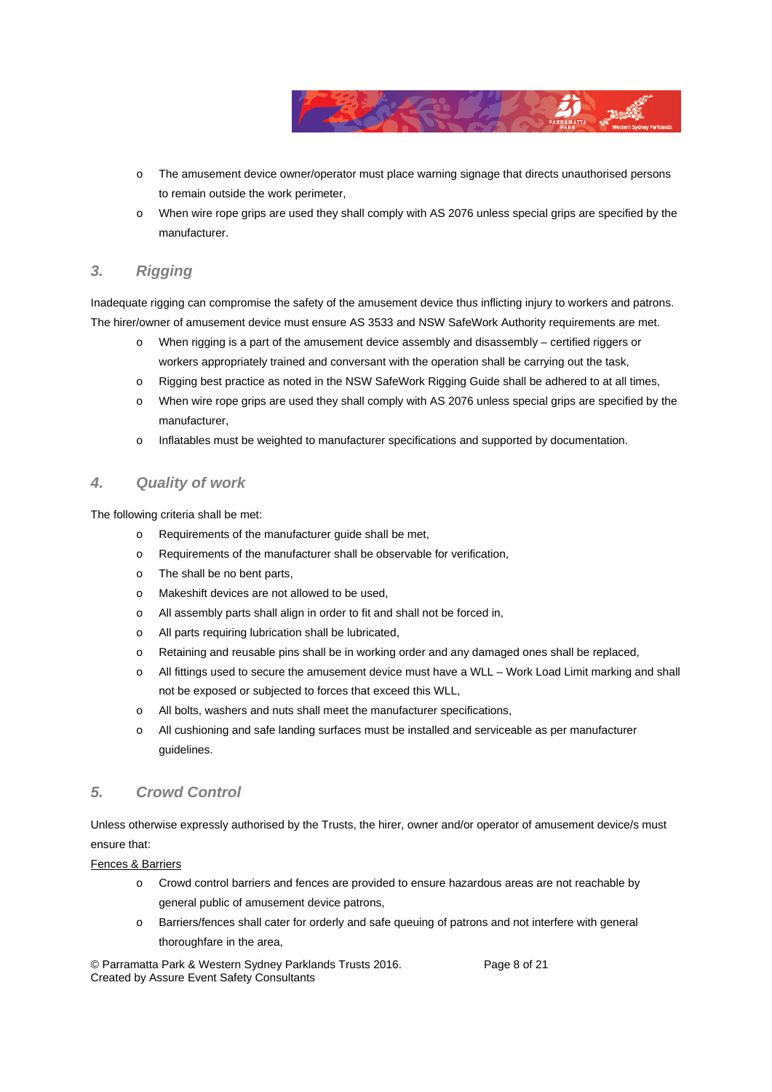

- o The amusement device owner/operator must place warning signage that directs unauthorised persons to remain outside the work perimeter,
- o When wire rope grips are used they shall comply with AS 2076 unless special grips are specified by the manufacturer.

### *3. Rigging*

Inadequate rigging can compromise the safety of the amusement device thus inflicting injury to workers and patrons. The hirer/owner of amusement device must ensure AS 3533 and NSW SafeWork Authority requirements are met.

- o When rigging is a part of the amusement device assembly and disassembly certified riggers or workers appropriately trained and conversant with the operation shall be carrying out the task,
- o Rigging best practice as noted in the NSW SafeWork Rigging Guide shall be adhered to at all times,
- o When wire rope grips are used they shall comply with AS 2076 unless special grips are specified by the manufacturer,
- o Inflatables must be weighted to manufacturer specifications and supported by documentation.

### *4. Quality of work*

The following criteria shall be met:

- o Requirements of the manufacturer guide shall be met,
- o Requirements of the manufacturer shall be observable for verification,
- o The shall be no bent parts,
- o Makeshift devices are not allowed to be used,
- o All assembly parts shall align in order to fit and shall not be forced in,
- o All parts requiring lubrication shall be lubricated,
- o Retaining and reusable pins shall be in working order and any damaged ones shall be replaced,
- o All fittings used to secure the amusement device must have a WLL Work Load Limit marking and shall not be exposed or subjected to forces that exceed this WLL,
- o All bolts, washers and nuts shall meet the manufacturer specifications,
- o All cushioning and safe landing surfaces must be installed and serviceable as per manufacturer guidelines.

### *5. Crowd Control*

Unless otherwise expressly authorised by the Trusts, the hirer, owner and/or operator of amusement device/s must ensure that:

Fences & Barriers

- o Crowd control barriers and fences are provided to ensure hazardous areas are not reachable by general public of amusement device patrons,
- o Barriers/fences shall cater for orderly and safe queuing of patrons and not interfere with general thoroughfare in the area,

© Parramatta Park & Western Sydney Parklands Trusts 2016. Page 8 of 21 Created by Assure Event Safety Consultants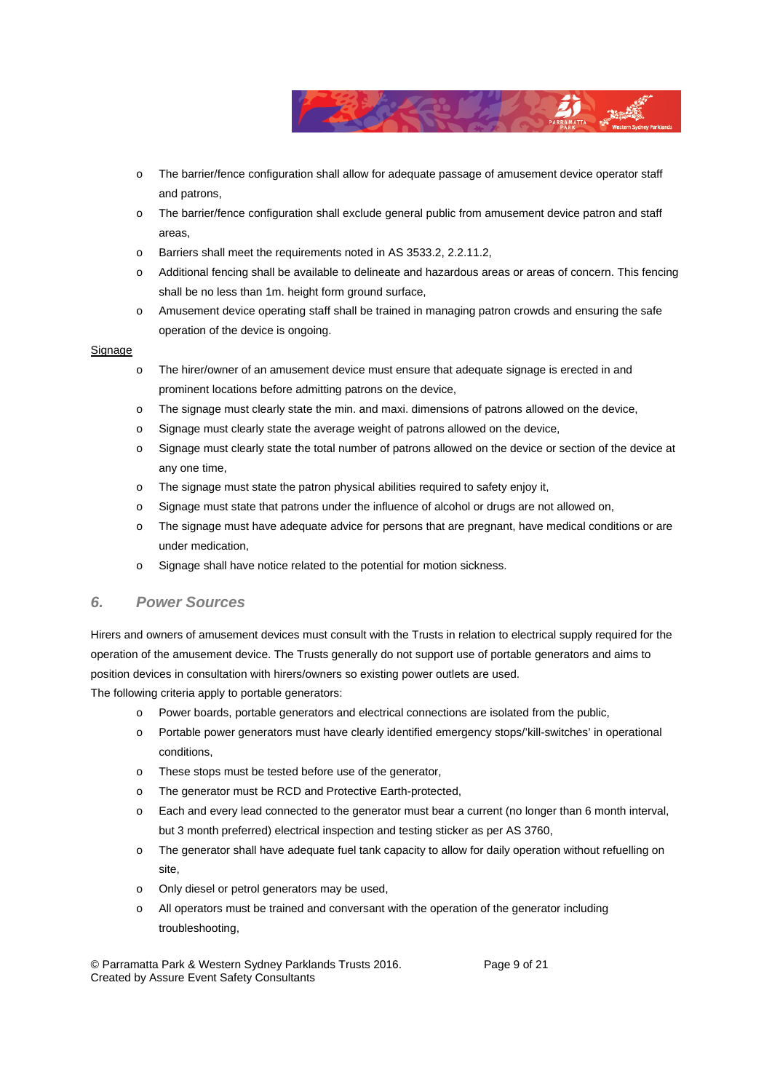

- o The barrier/fence configuration shall allow for adequate passage of amusement device operator staff and patrons,
- o The barrier/fence configuration shall exclude general public from amusement device patron and staff areas,
- o Barriers shall meet the requirements noted in AS 3533.2, 2.2.11.2,
- o Additional fencing shall be available to delineate and hazardous areas or areas of concern. This fencing shall be no less than 1m. height form ground surface,
- o Amusement device operating staff shall be trained in managing patron crowds and ensuring the safe operation of the device is ongoing.

#### **Signage**

- o The hirer/owner of an amusement device must ensure that adequate signage is erected in and prominent locations before admitting patrons on the device,
- o The signage must clearly state the min. and maxi. dimensions of patrons allowed on the device,
- o Signage must clearly state the average weight of patrons allowed on the device,
- o Signage must clearly state the total number of patrons allowed on the device or section of the device at any one time,
- o The signage must state the patron physical abilities required to safety enjoy it,
- o Signage must state that patrons under the influence of alcohol or drugs are not allowed on,
- o The signage must have adequate advice for persons that are pregnant, have medical conditions or are under medication,
- o Signage shall have notice related to the potential for motion sickness.

#### *6. Power Sources*

Hirers and owners of amusement devices must consult with the Trusts in relation to electrical supply required for the operation of the amusement device. The Trusts generally do not support use of portable generators and aims to position devices in consultation with hirers/owners so existing power outlets are used.

The following criteria apply to portable generators:

- o Power boards, portable generators and electrical connections are isolated from the public,
- o Portable power generators must have clearly identified emergency stops/'kill-switches' in operational conditions,
- o These stops must be tested before use of the generator,
- o The generator must be RCD and Protective Earth-protected,
- o Each and every lead connected to the generator must bear a current (no longer than 6 month interval, but 3 month preferred) electrical inspection and testing sticker as per AS 3760,
- o The generator shall have adequate fuel tank capacity to allow for daily operation without refuelling on site,
- o Only diesel or petrol generators may be used,
- o All operators must be trained and conversant with the operation of the generator including troubleshooting,

© Parramatta Park & Western Sydney Parklands Trusts 2016. Page 9 of 21 Created by Assure Event Safety Consultants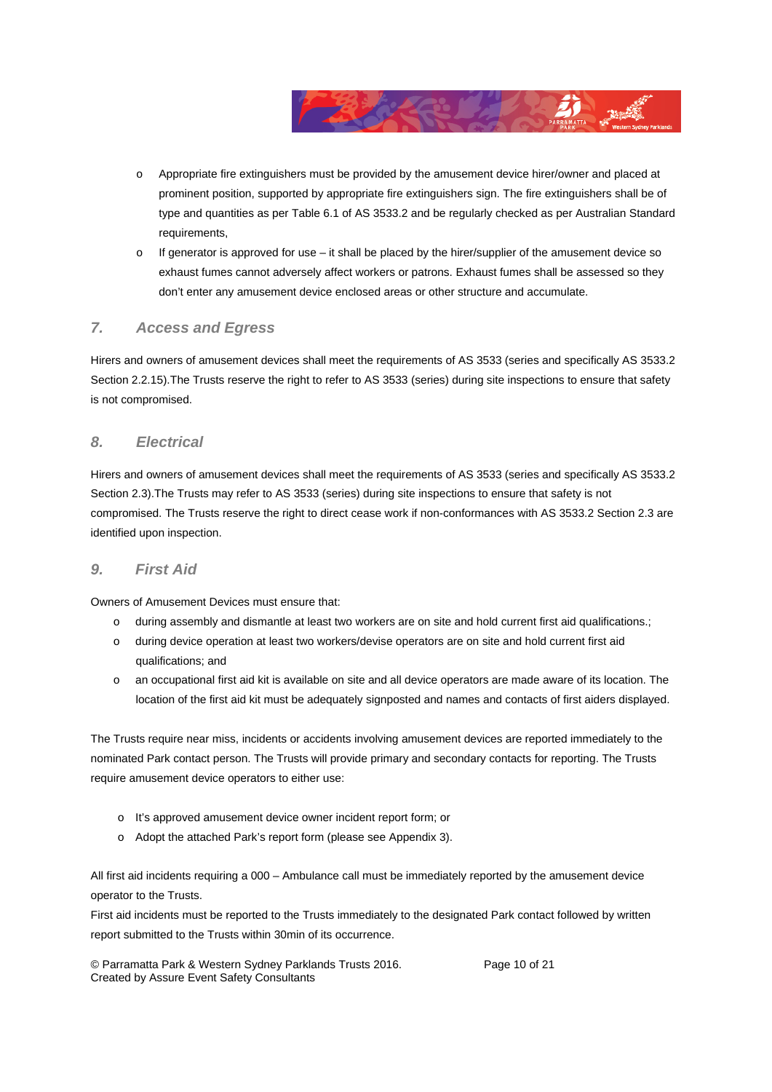

- o Appropriate fire extinguishers must be provided by the amusement device hirer/owner and placed at prominent position, supported by appropriate fire extinguishers sign. The fire extinguishers shall be of type and quantities as per Table 6.1 of AS 3533.2 and be regularly checked as per Australian Standard requirements,
- o If generator is approved for use it shall be placed by the hirer/supplier of the amusement device so exhaust fumes cannot adversely affect workers or patrons. Exhaust fumes shall be assessed so they don't enter any amusement device enclosed areas or other structure and accumulate.

### *7. Access and Egress*

Hirers and owners of amusement devices shall meet the requirements of AS 3533 (series and specifically AS 3533.2 Section 2.2.15). The Trusts reserve the right to refer to AS 3533 (series) during site inspections to ensure that safety is not compromised.

### *8. Electrical*

Hirers and owners of amusement devices shall meet the requirements of AS 3533 (series and specifically AS 3533.2 Section 2.3).The Trusts may refer to AS 3533 (series) during site inspections to ensure that safety is not compromised. The Trusts reserve the right to direct cease work if non-conformances with AS 3533.2 Section 2.3 are identified upon inspection.

### *9. First Aid*

Owners of Amusement Devices must ensure that:

- o during assembly and dismantle at least two workers are on site and hold current first aid qualifications.;
- o during device operation at least two workers/devise operators are on site and hold current first aid qualifications; and
- o an occupational first aid kit is available on site and all device operators are made aware of its location. The location of the first aid kit must be adequately signposted and names and contacts of first aiders displayed.

The Trusts require near miss, incidents or accidents involving amusement devices are reported immediately to the nominated Park contact person. The Trusts will provide primary and secondary contacts for reporting. The Trusts require amusement device operators to either use:

- o It's approved amusement device owner incident report form; or
- o Adopt the attached Park's report form (please see Appendix 3).

All first aid incidents requiring a 000 – Ambulance call must be immediately reported by the amusement device operator to the Trusts.

First aid incidents must be reported to the Trusts immediately to the designated Park contact followed by written report submitted to the Trusts within 30min of its occurrence.

© Parramatta Park & Western Sydney Parklands Trusts 2016. Page 10 of 21 Created by Assure Event Safety Consultants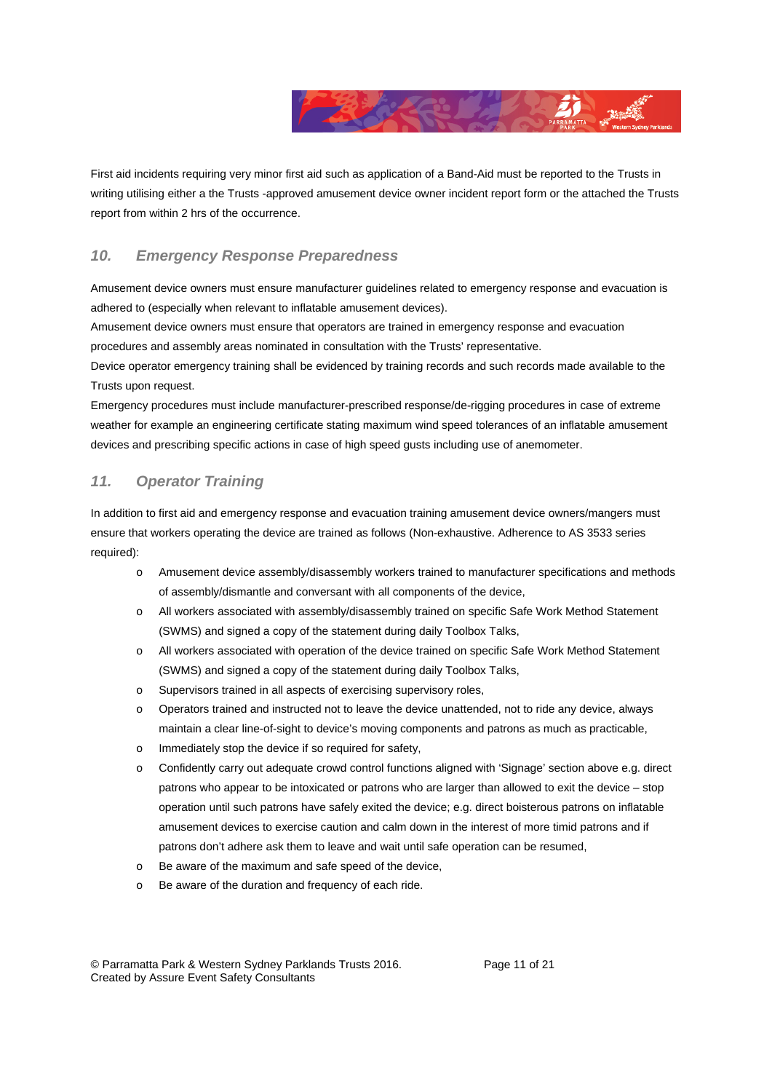

First aid incidents requiring very minor first aid such as application of a Band-Aid must be reported to the Trusts in writing utilising either a the Trusts -approved amusement device owner incident report form or the attached the Trusts report from within 2 hrs of the occurrence.

### *10. Emergency Response Preparedness*

Amusement device owners must ensure manufacturer guidelines related to emergency response and evacuation is adhered to (especially when relevant to inflatable amusement devices).

Amusement device owners must ensure that operators are trained in emergency response and evacuation procedures and assembly areas nominated in consultation with the Trusts' representative.

Device operator emergency training shall be evidenced by training records and such records made available to the Trusts upon request.

Emergency procedures must include manufacturer-prescribed response/de-rigging procedures in case of extreme weather for example an engineering certificate stating maximum wind speed tolerances of an inflatable amusement devices and prescribing specific actions in case of high speed gusts including use of anemometer.

### *11. Operator Training*

In addition to first aid and emergency response and evacuation training amusement device owners/mangers must ensure that workers operating the device are trained as follows (Non-exhaustive. Adherence to AS 3533 series required):

- o Amusement device assembly/disassembly workers trained to manufacturer specifications and methods of assembly/dismantle and conversant with all components of the device,
- o All workers associated with assembly/disassembly trained on specific Safe Work Method Statement (SWMS) and signed a copy of the statement during daily Toolbox Talks,
- o All workers associated with operation of the device trained on specific Safe Work Method Statement (SWMS) and signed a copy of the statement during daily Toolbox Talks,
- o Supervisors trained in all aspects of exercising supervisory roles,
- o Operators trained and instructed not to leave the device unattended, not to ride any device, always maintain a clear line-of-sight to device's moving components and patrons as much as practicable,
- o Immediately stop the device if so required for safety,
- o Confidently carry out adequate crowd control functions aligned with 'Signage' section above e.g. direct patrons who appear to be intoxicated or patrons who are larger than allowed to exit the device – stop operation until such patrons have safely exited the device; e.g. direct boisterous patrons on inflatable amusement devices to exercise caution and calm down in the interest of more timid patrons and if patrons don't adhere ask them to leave and wait until safe operation can be resumed,
- o Be aware of the maximum and safe speed of the device,
- o Be aware of the duration and frequency of each ride.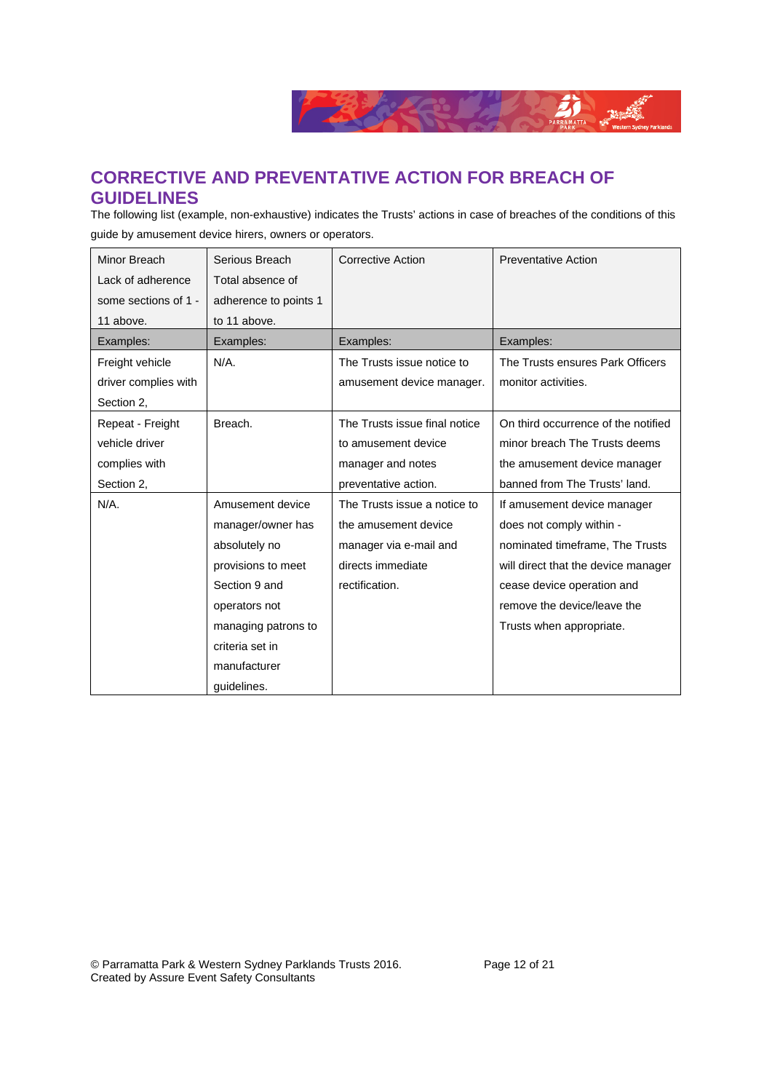

### **CORRECTIVE AND PREVENTATIVE ACTION FOR BREACH OF GUIDELINES**

The following list (example, non-exhaustive) indicates the Trusts' actions in case of breaches of the conditions of this guide by amusement device hirers, owners or operators.

| Minor Breach         | Serious Breach        | <b>Corrective Action</b>      | <b>Preventative Action</b>          |
|----------------------|-----------------------|-------------------------------|-------------------------------------|
| Lack of adherence    | Total absence of      |                               |                                     |
| some sections of 1 - | adherence to points 1 |                               |                                     |
| 11 above.            | to 11 above.          |                               |                                     |
| Examples:            | Examples:             | Examples:                     | Examples:                           |
| Freight vehicle      | $N/A$ .               | The Trusts issue notice to    | The Trusts ensures Park Officers    |
| driver complies with |                       | amusement device manager.     | monitor activities.                 |
| Section 2,           |                       |                               |                                     |
| Repeat - Freight     | Breach.               | The Trusts issue final notice | On third occurrence of the notified |
| vehicle driver       |                       | to amusement device           | minor breach The Trusts deems       |
| complies with        |                       | manager and notes             | the amusement device manager        |
| Section 2,           |                       | preventative action.          | banned from The Trusts' land.       |
| N/A.                 | Amusement device      | The Trusts issue a notice to  | If amusement device manager         |
|                      | manager/owner has     | the amusement device          | does not comply within -            |
|                      | absolutely no         | manager via e-mail and        | nominated timeframe, The Trusts     |
|                      | provisions to meet    | directs immediate             | will direct that the device manager |
|                      | Section 9 and         | rectification.                | cease device operation and          |
|                      | operators not         |                               | remove the device/leave the         |
|                      | managing patrons to   |                               | Trusts when appropriate.            |
|                      | criteria set in       |                               |                                     |
|                      | manufacturer          |                               |                                     |
|                      | quidelines.           |                               |                                     |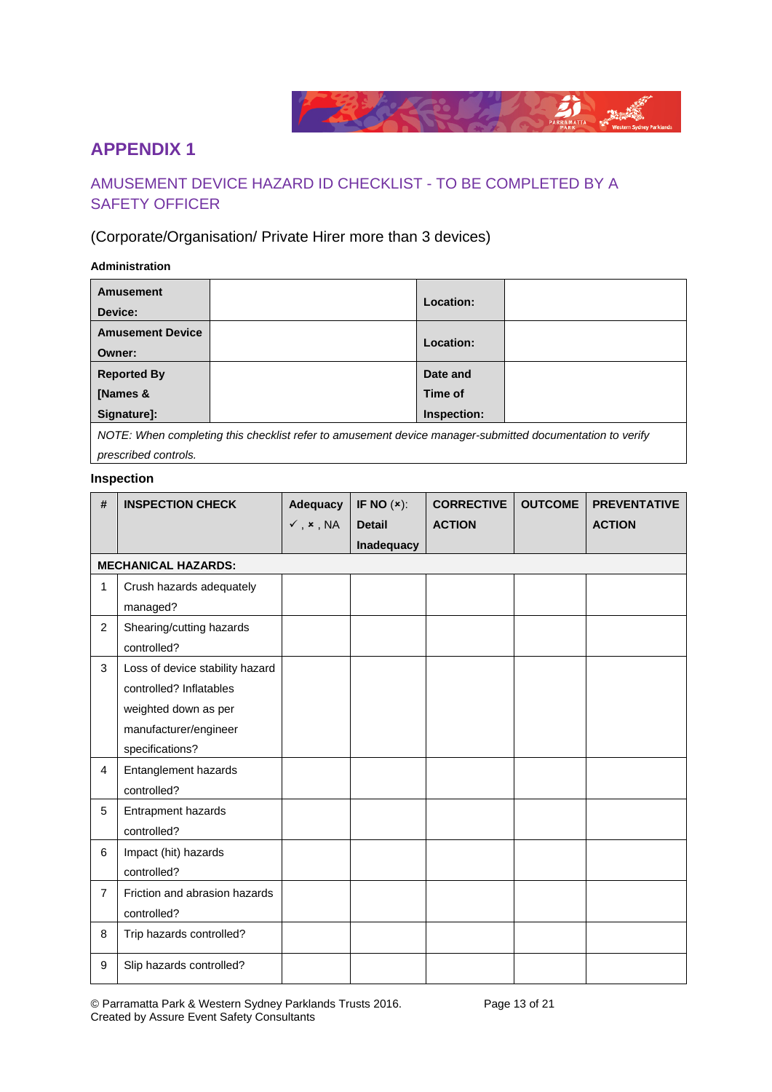

## **APPENDIX 1**

### AMUSEMENT DEVICE HAZARD ID CHECKLIST - TO BE COMPLETED BY A SAFETY OFFICER

### (Corporate/Organisation/ Private Hirer more than 3 devices)

#### **Administration**

| <b>Amusement</b><br>Device:                                                                              |  | Location:   |  |  |
|----------------------------------------------------------------------------------------------------------|--|-------------|--|--|
| <b>Amusement Device</b><br>Owner:                                                                        |  | Location:   |  |  |
| <b>Reported By</b>                                                                                       |  | Date and    |  |  |
| [Names &                                                                                                 |  | Time of     |  |  |
| Signature]:                                                                                              |  | Inspection: |  |  |
| NOTE: Whop completing this chooklist refer to amusement device manager submitted decumentation to verify |  |             |  |  |

*NOTE: When completing this checklist refer to amusement device manager-submitted documentation to verify prescribed controls.* 

#### **Inspection**

| #              | <b>INSPECTION CHECK</b>         | Adequacy                         | IF NO $(x)$ :     | <b>CORRECTIVE</b> | <b>OUTCOME</b> | <b>PREVENTATIVE</b> |
|----------------|---------------------------------|----------------------------------|-------------------|-------------------|----------------|---------------------|
|                |                                 | $\checkmark$ , $\checkmark$ , NA | <b>Detail</b>     | <b>ACTION</b>     |                | <b>ACTION</b>       |
|                |                                 |                                  | <b>Inadequacy</b> |                   |                |                     |
|                | <b>MECHANICAL HAZARDS:</b>      |                                  |                   |                   |                |                     |
| $\mathbf{1}$   | Crush hazards adequately        |                                  |                   |                   |                |                     |
|                | managed?                        |                                  |                   |                   |                |                     |
| $\overline{2}$ | Shearing/cutting hazards        |                                  |                   |                   |                |                     |
|                | controlled?                     |                                  |                   |                   |                |                     |
| 3              | Loss of device stability hazard |                                  |                   |                   |                |                     |
|                | controlled? Inflatables         |                                  |                   |                   |                |                     |
|                | weighted down as per            |                                  |                   |                   |                |                     |
|                | manufacturer/engineer           |                                  |                   |                   |                |                     |
|                | specifications?                 |                                  |                   |                   |                |                     |
| 4              | Entanglement hazards            |                                  |                   |                   |                |                     |
|                | controlled?                     |                                  |                   |                   |                |                     |
| 5              | Entrapment hazards              |                                  |                   |                   |                |                     |
|                | controlled?                     |                                  |                   |                   |                |                     |
| 6              | Impact (hit) hazards            |                                  |                   |                   |                |                     |
|                | controlled?                     |                                  |                   |                   |                |                     |
| $\overline{7}$ | Friction and abrasion hazards   |                                  |                   |                   |                |                     |
|                | controlled?                     |                                  |                   |                   |                |                     |
| 8              | Trip hazards controlled?        |                                  |                   |                   |                |                     |
| 9              | Slip hazards controlled?        |                                  |                   |                   |                |                     |

© Parramatta Park & Western Sydney Parklands Trusts 2016. Page 13 of 21 Created by Assure Event Safety Consultants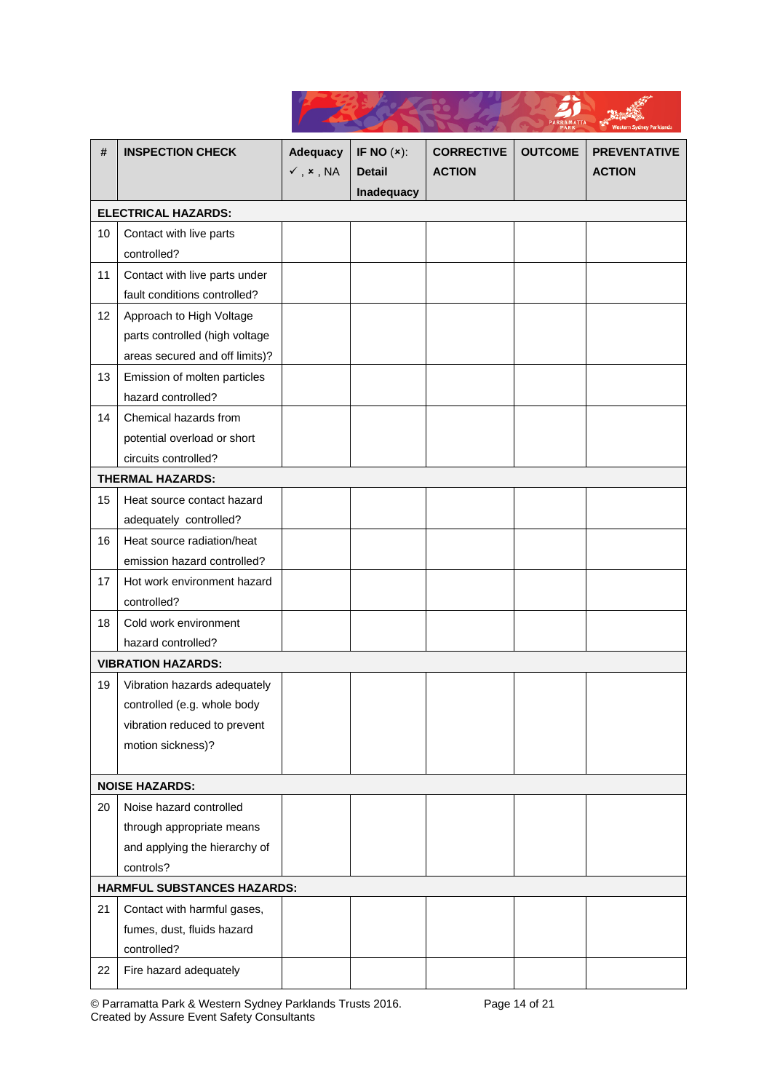| #  | <b>INSPECTION CHECK</b>                                                                      | <b>Adequacy</b><br>$\checkmark$ , $\checkmark$ , NA | IF NO $(x)$ :<br><b>Detail</b><br>Inadequacy | <b>CORRECTIVE</b><br><b>ACTION</b> | <b>OUTCOME</b> | <b>PREVENTATIVE</b><br><b>ACTION</b> |
|----|----------------------------------------------------------------------------------------------|-----------------------------------------------------|----------------------------------------------|------------------------------------|----------------|--------------------------------------|
|    | <b>ELECTRICAL HAZARDS:</b>                                                                   |                                                     |                                              |                                    |                |                                      |
| 10 | Contact with live parts<br>controlled?                                                       |                                                     |                                              |                                    |                |                                      |
| 11 | Contact with live parts under<br>fault conditions controlled?                                |                                                     |                                              |                                    |                |                                      |
| 12 | Approach to High Voltage<br>parts controlled (high voltage<br>areas secured and off limits)? |                                                     |                                              |                                    |                |                                      |
| 13 | Emission of molten particles<br>hazard controlled?                                           |                                                     |                                              |                                    |                |                                      |
| 14 | Chemical hazards from<br>potential overload or short<br>circuits controlled?                 |                                                     |                                              |                                    |                |                                      |
|    | <b>THERMAL HAZARDS:</b>                                                                      |                                                     |                                              |                                    |                |                                      |
| 15 | Heat source contact hazard<br>adequately controlled?                                         |                                                     |                                              |                                    |                |                                      |
| 16 | Heat source radiation/heat<br>emission hazard controlled?                                    |                                                     |                                              |                                    |                |                                      |
| 17 | Hot work environment hazard<br>controlled?                                                   |                                                     |                                              |                                    |                |                                      |
| 18 | Cold work environment<br>hazard controlled?                                                  |                                                     |                                              |                                    |                |                                      |
|    | <b>VIBRATION HAZARDS:</b>                                                                    |                                                     |                                              |                                    |                |                                      |
| 19 | Vibration hazards adequately                                                                 |                                                     |                                              |                                    |                |                                      |
|    | controlled (e.g. whole body                                                                  |                                                     |                                              |                                    |                |                                      |
|    | vibration reduced to prevent                                                                 |                                                     |                                              |                                    |                |                                      |
|    | motion sickness)?                                                                            |                                                     |                                              |                                    |                |                                      |
|    | <b>NOISE HAZARDS:</b>                                                                        |                                                     |                                              |                                    |                |                                      |
| 20 | Noise hazard controlled                                                                      |                                                     |                                              |                                    |                |                                      |
|    | through appropriate means                                                                    |                                                     |                                              |                                    |                |                                      |
|    | and applying the hierarchy of<br>controls?                                                   |                                                     |                                              |                                    |                |                                      |
|    | <b>HARMFUL SUBSTANCES HAZARDS:</b>                                                           |                                                     |                                              |                                    |                |                                      |
| 21 | Contact with harmful gases,                                                                  |                                                     |                                              |                                    |                |                                      |
|    | fumes, dust, fluids hazard<br>controlled?                                                    |                                                     |                                              |                                    |                |                                      |
| 22 | Fire hazard adequately                                                                       |                                                     |                                              |                                    |                |                                      |

© Parramatta Park & Western Sydney Parklands Trusts 2016. Page 14 of 21 Created by Assure Event Safety Consultants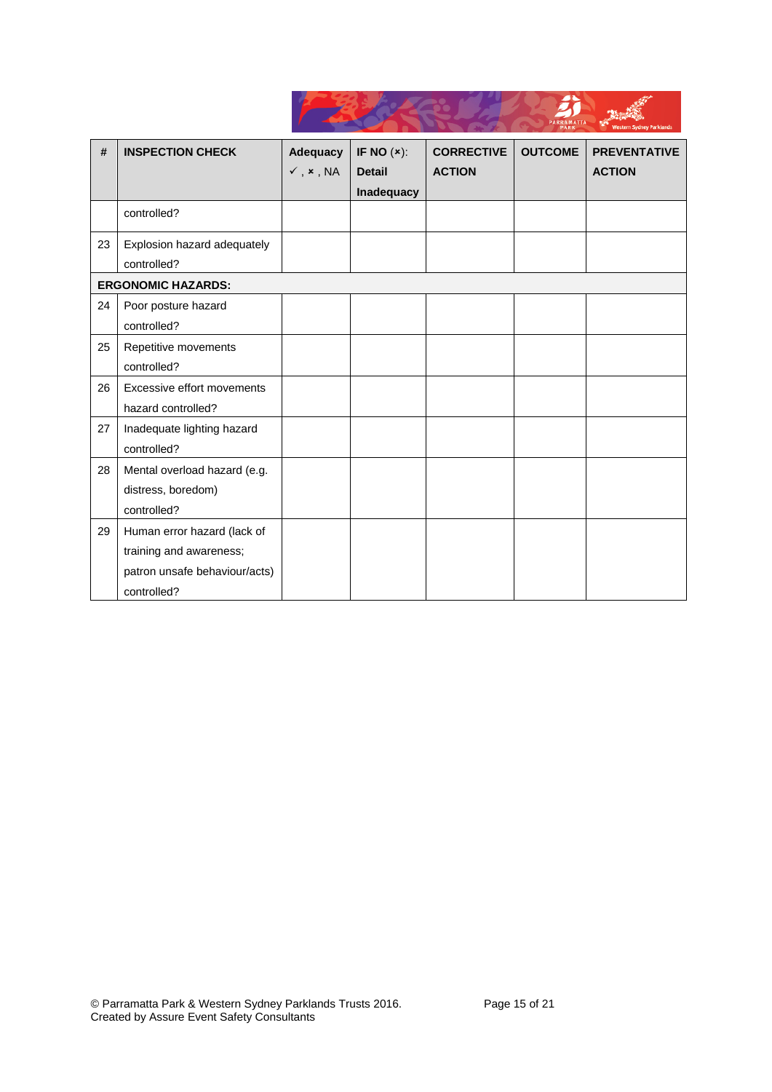|    |                               |                                                     |                                |                                    | <b>PAKA</b>    | western sydney narroands.            |
|----|-------------------------------|-----------------------------------------------------|--------------------------------|------------------------------------|----------------|--------------------------------------|
| #  | <b>INSPECTION CHECK</b>       | <b>Adequacy</b><br>$\checkmark$ , $\checkmark$ , NA | IF NO $(x)$ :<br><b>Detail</b> | <b>CORRECTIVE</b><br><b>ACTION</b> | <b>OUTCOME</b> | <b>PREVENTATIVE</b><br><b>ACTION</b> |
|    |                               |                                                     | Inadequacy                     |                                    |                |                                      |
|    | controlled?                   |                                                     |                                |                                    |                |                                      |
| 23 | Explosion hazard adequately   |                                                     |                                |                                    |                |                                      |
|    | controlled?                   |                                                     |                                |                                    |                |                                      |
|    | <b>ERGONOMIC HAZARDS:</b>     |                                                     |                                |                                    |                |                                      |
| 24 | Poor posture hazard           |                                                     |                                |                                    |                |                                      |
|    | controlled?                   |                                                     |                                |                                    |                |                                      |
| 25 | Repetitive movements          |                                                     |                                |                                    |                |                                      |
|    | controlled?                   |                                                     |                                |                                    |                |                                      |
| 26 | Excessive effort movements    |                                                     |                                |                                    |                |                                      |
|    | hazard controlled?            |                                                     |                                |                                    |                |                                      |
| 27 | Inadequate lighting hazard    |                                                     |                                |                                    |                |                                      |
|    | controlled?                   |                                                     |                                |                                    |                |                                      |
| 28 | Mental overload hazard (e.g.  |                                                     |                                |                                    |                |                                      |
|    | distress, boredom)            |                                                     |                                |                                    |                |                                      |
|    | controlled?                   |                                                     |                                |                                    |                |                                      |
| 29 | Human error hazard (lack of   |                                                     |                                |                                    |                |                                      |
|    | training and awareness;       |                                                     |                                |                                    |                |                                      |
|    | patron unsafe behaviour/acts) |                                                     |                                |                                    |                |                                      |
|    | controlled?                   |                                                     |                                |                                    |                |                                      |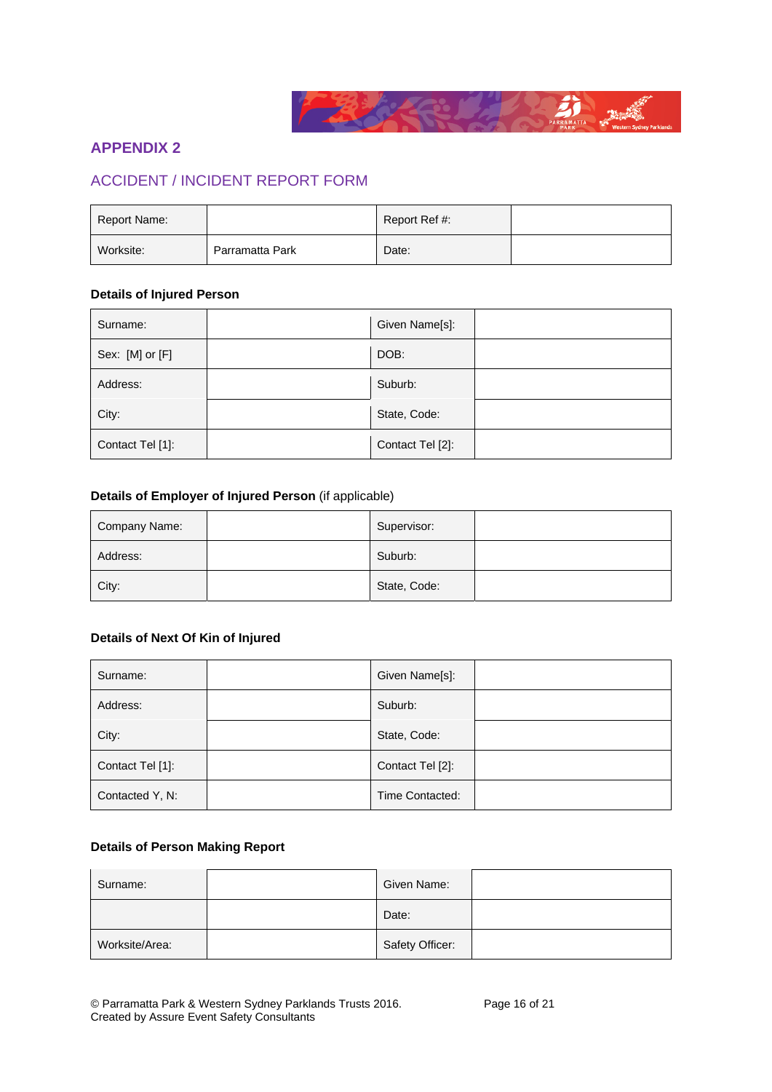

### **APPENDIX 2**

### ACCIDENT / INCIDENT REPORT FORM

| Report Name: |                 | Report Ref #: |  |
|--------------|-----------------|---------------|--|
| Worksite:    | Parramatta Park | Date:         |  |

#### **Details of Injured Person**

| Surname:         | Given Name[s]:   |  |
|------------------|------------------|--|
| Sex: [M] or [F]  | DOB:             |  |
| Address:         | Suburb:          |  |
| City:            | State, Code:     |  |
| Contact Tel [1]: | Contact Tel [2]: |  |

#### **Details of Employer of Injured Person** (if applicable)

| Company Name: | Supervisor:  |  |
|---------------|--------------|--|
| Address:      | Suburb:      |  |
| City:         | State, Code: |  |

### **Details of Next Of Kin of Injured**

| Surname:         | Given Name[s]:   |  |
|------------------|------------------|--|
| Address:         | Suburb:          |  |
| City:            | State, Code:     |  |
| Contact Tel [1]: | Contact Tel [2]: |  |
| Contacted Y, N:  | Time Contacted:  |  |

### **Details of Person Making Report**

| Surname:       | Given Name:     |  |
|----------------|-----------------|--|
|                | Date:           |  |
| Worksite/Area: | Safety Officer: |  |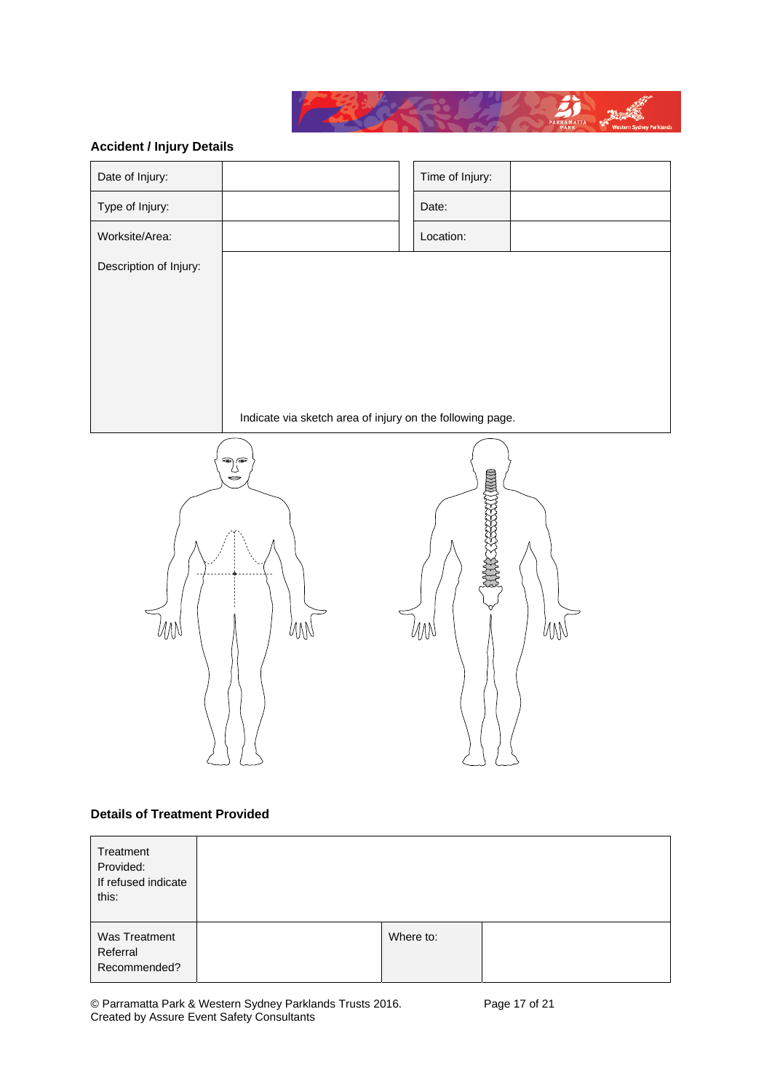

### **Accident / Injury Details**

| Date of Injury:        |                                                                     | Time of Injury: |  |
|------------------------|---------------------------------------------------------------------|-----------------|--|
| Type of Injury:        |                                                                     | Date:           |  |
| Worksite/Area:         |                                                                     | Location:       |  |
| Description of Injury: |                                                                     |                 |  |
|                        |                                                                     |                 |  |
|                        |                                                                     |                 |  |
|                        |                                                                     |                 |  |
|                        |                                                                     |                 |  |
|                        | Indicate via sketch area of injury on the following page.           |                 |  |
|                        | $\textcircled{\tiny{\textcircled{\tiny{w}}}}$<br>Δ<br>$\Rightarrow$ | RKK             |  |
|                        |                                                                     |                 |  |

WW

MU

### **Details of Treatment Provided**

WW

| Treatment<br>Provided:<br>If refused indicate<br>this: |           |  |
|--------------------------------------------------------|-----------|--|
| Was Treatment<br>Referral<br>Recommended?              | Where to: |  |

© Parramatta Park & Western Sydney Parklands Trusts 2016. Page 17 of 21 Created by Assure Event Safety Consultants

WW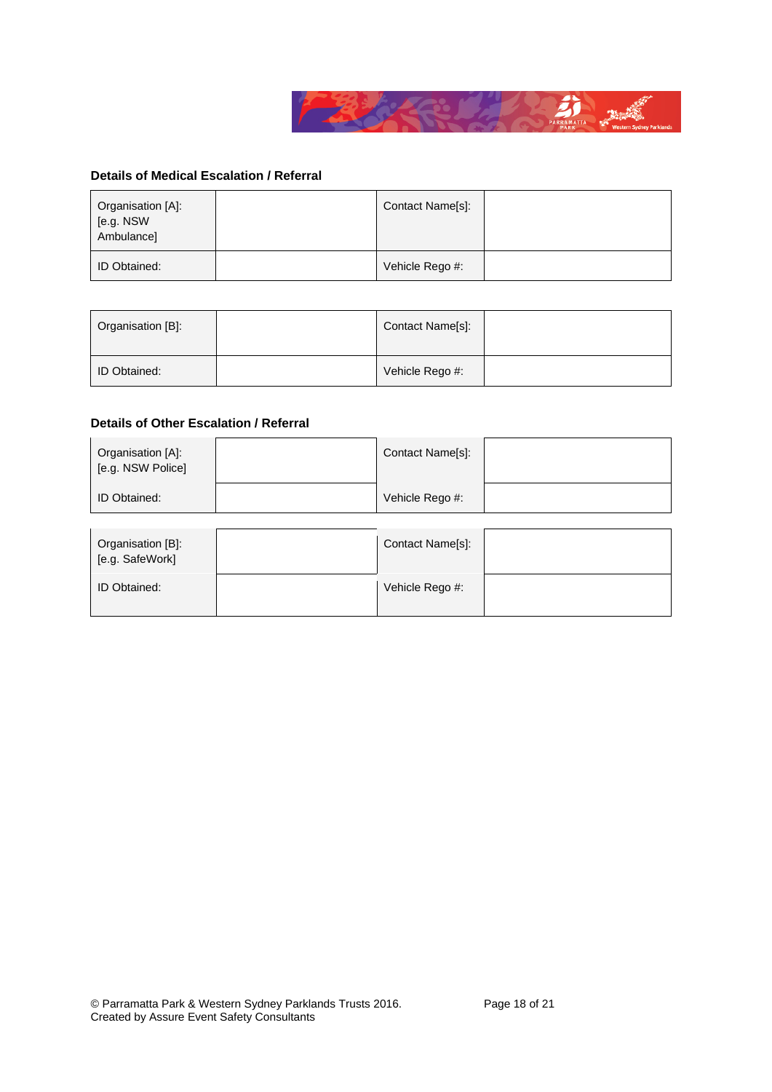

#### **Details of Medical Escalation / Referral**

| Organisation [A]:<br>[e.g. NSW<br>Ambulance] | Contact Name[s]: |  |
|----------------------------------------------|------------------|--|
| <b>ID Obtained:</b>                          | Vehicle Rego #:  |  |

| Organisation [B]: | Contact Name[s]: |  |
|-------------------|------------------|--|
| ID Obtained:      | Vehicle Rego #:  |  |

### **Details of Other Escalation / Referral**

| Organisation [A]:<br>[e.g. NSW Police] | Contact Name[s]: |  |
|----------------------------------------|------------------|--|
| <b>ID Obtained:</b>                    | Vehicle Rego #:  |  |

| Organisation [B]:<br>[e.g. SafeWork] | Contact Name[s]: |  |
|--------------------------------------|------------------|--|
| <b>ID Obtained:</b>                  | Vehicle Rego #:  |  |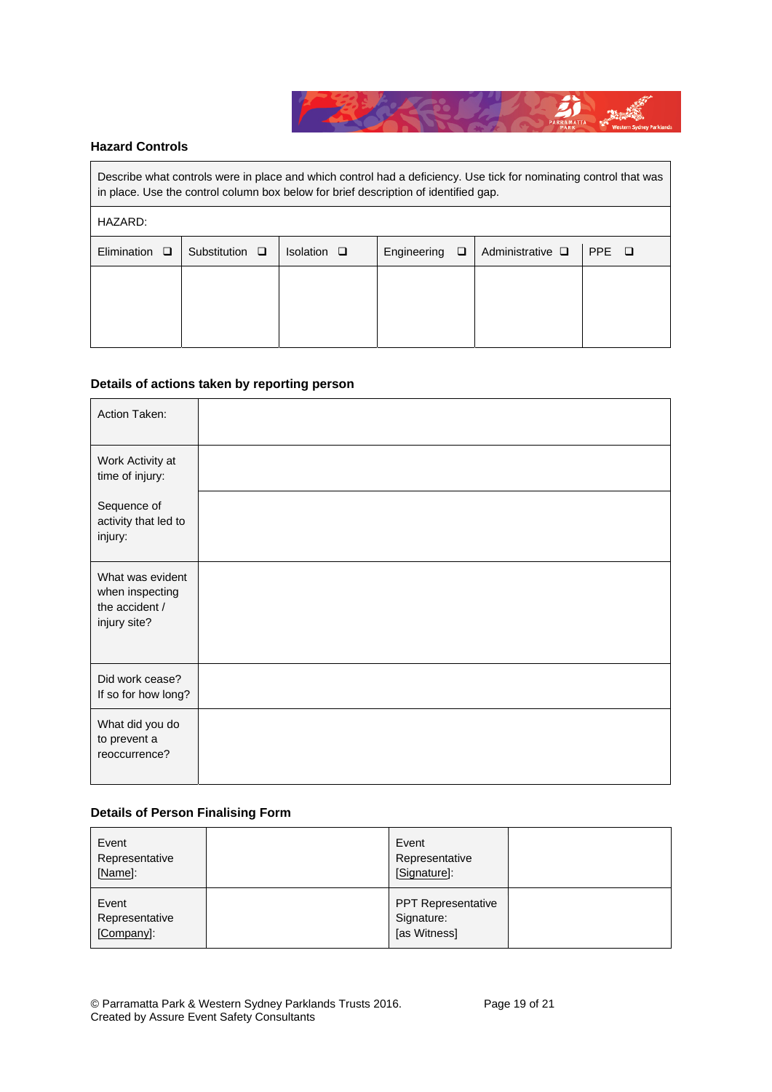

#### **Hazard Controls**

 $\blacksquare$ 

| Describe what controls were in place and which control had a deficiency. Use tick for nominating control that was<br>in place. Use the control column box below for brief description of identified gap. |                     |                  |             |                       |       |  |
|----------------------------------------------------------------------------------------------------------------------------------------------------------------------------------------------------------|---------------------|------------------|-------------|-----------------------|-------|--|
| HAZARD:                                                                                                                                                                                                  |                     |                  |             |                       |       |  |
| Elimination $\Box$                                                                                                                                                                                       | Substitution $\Box$ | Isolation $\Box$ | Engineering | Administrative $\Box$ | PPE O |  |
|                                                                                                                                                                                                          |                     |                  |             |                       |       |  |
|                                                                                                                                                                                                          |                     |                  |             |                       |       |  |
|                                                                                                                                                                                                          |                     |                  |             |                       |       |  |

### **Details of actions taken by reporting person**

| Action Taken:                                                         |  |
|-----------------------------------------------------------------------|--|
| Work Activity at<br>time of injury:                                   |  |
| Sequence of<br>activity that led to<br>injury:                        |  |
| What was evident<br>when inspecting<br>the accident /<br>injury site? |  |
| Did work cease?<br>If so for how long?                                |  |
| What did you do<br>to prevent a<br>reoccurrence?                      |  |

### **Details of Person Finalising Form**

| Event<br>Representative<br>[Name]:    | Event<br>Representative<br>[Signature]:                 |  |
|---------------------------------------|---------------------------------------------------------|--|
| Event<br>Representative<br>[Company]: | <b>PPT Representative</b><br>Signature:<br>[as Witness] |  |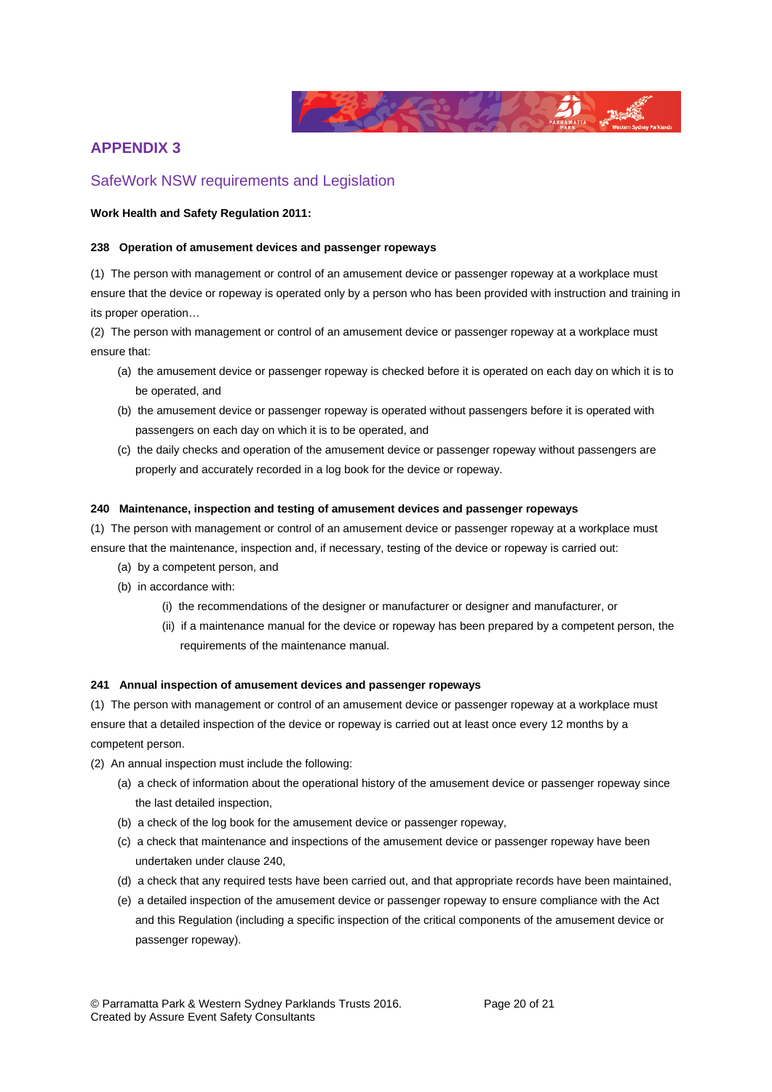

### **APPENDIX 3**

### SafeWork NSW requirements and Legislation

#### **Work Health and Safety Regulation 2011:**

#### **238 Operation of amusement devices and passenger ropeways**

(1) The person with management or control of an amusement device or passenger ropeway at a workplace must ensure that the device or ropeway is operated only by a person who has been provided with instruction and training in its proper operation…

(2) The person with management or control of an amusement device or passenger ropeway at a workplace must ensure that:

- (a) the amusement device or passenger ropeway is checked before it is operated on each day on which it is to be operated, and
- (b) the amusement device or passenger ropeway is operated without passengers before it is operated with passengers on each day on which it is to be operated, and
- (c) the daily checks and operation of the amusement device or passenger ropeway without passengers are properly and accurately recorded in a log book for the device or ropeway.

#### **240 Maintenance, inspection and testing of amusement devices and passenger ropeways**

(1) The person with management or control of an amusement device or passenger ropeway at a workplace must ensure that the maintenance, inspection and, if necessary, testing of the device or ropeway is carried out:

- (a) by a competent person, and
- (b) in accordance with:
	- (i) the recommendations of the designer or manufacturer or designer and manufacturer, or
	- (ii) if a maintenance manual for the device or ropeway has been prepared by a competent person, the requirements of the maintenance manual.

#### **241 Annual inspection of amusement devices and passenger ropeways**

(1) The person with management or control of an amusement device or passenger ropeway at a workplace must ensure that a detailed inspection of the device or ropeway is carried out at least once every 12 months by a competent person.

- (2) An annual inspection must include the following:
	- (a) a check of information about the operational history of the amusement device or passenger ropeway since the last detailed inspection,
	- (b) a check of the log book for the amusement device or passenger ropeway,
	- (c) a check that maintenance and inspections of the amusement device or passenger ropeway have been undertaken under clause 240,
	- (d) a check that any required tests have been carried out, and that appropriate records have been maintained,
	- (e) a detailed inspection of the amusement device or passenger ropeway to ensure compliance with the Act and this Regulation (including a specific inspection of the critical components of the amusement device or passenger ropeway).